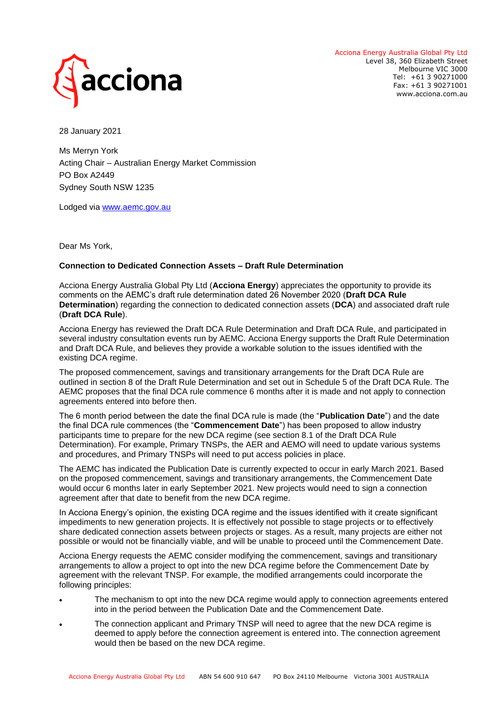

Acciona Energy Australia Global Pty Ltd Level 38, 360 Elizabeth Street Melbourne VIC 3000 Tel: +61 3 90271000 Fax: +61 3 90271001 www.acciona.com.au

28 January 2021

Ms Merryn York Acting Chair – Australian Energy Market Commission PO Box A2449 Sydney South NSW 1235

Lodged via [www.aemc.gov.au](http://www.aemc.gov.au/)

Dear Ms York,

## **Connection to Dedicated Connection Assets – Draft Rule Determination**

Acciona Energy Australia Global Pty Ltd (**Acciona Energy**) appreciates the opportunity to provide its comments on the AEMC's draft rule determination dated 26 November 2020 (**Draft DCA Rule Determination**) regarding the connection to dedicated connection assets (**DCA**) and associated draft rule (**Draft DCA Rule**).

Acciona Energy has reviewed the Draft DCA Rule Determination and Draft DCA Rule, and participated in several industry consultation events run by AEMC. Acciona Energy supports the Draft Rule Determination and Draft DCA Rule, and believes they provide a workable solution to the issues identified with the existing DCA regime.

The proposed commencement, savings and transitionary arrangements for the Draft DCA Rule are outlined in section 8 of the Draft Rule Determination and set out in Schedule 5 of the Draft DCA Rule. The AEMC proposes that the final DCA rule commence 6 months after it is made and not apply to connection agreements entered into before then.

The 6 month period between the date the final DCA rule is made (the "**Publication Date**") and the date the final DCA rule commences (the "**Commencement Date**") has been proposed to allow industry participants time to prepare for the new DCA regime (see section 8.1 of the Draft DCA Rule Determination). For example, Primary TNSPs, the AER and AEMO will need to update various systems and procedures, and Primary TNSPs will need to put access policies in place.

The AEMC has indicated the Publication Date is currently expected to occur in early March 2021. Based on the proposed commencement, savings and transitionary arrangements, the Commencement Date would occur 6 months later in early September 2021. New projects would need to sign a connection agreement after that date to benefit from the new DCA regime.

In Acciona Energy's opinion, the existing DCA regime and the issues identified with it create significant impediments to new generation projects. It is effectively not possible to stage projects or to effectively share dedicated connection assets between projects or stages. As a result, many projects are either not possible or would not be financially viable, and will be unable to proceed until the Commencement Date.

Acciona Energy requests the AEMC consider modifying the commencement, savings and transitionary arrangements to allow a project to opt into the new DCA regime before the Commencement Date by agreement with the relevant TNSP. For example, the modified arrangements could incorporate the following principles:

- The mechanism to opt into the new DCA regime would apply to connection agreements entered into in the period between the Publication Date and the Commencement Date.
- The connection applicant and Primary TNSP will need to agree that the new DCA regime is deemed to apply before the connection agreement is entered into. The connection agreement would then be based on the new DCA regime.